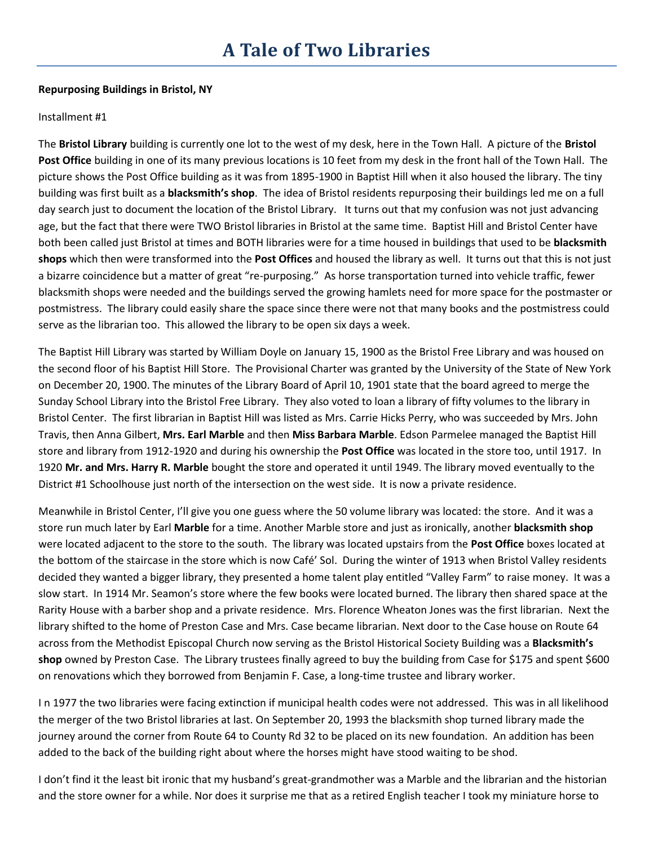## **Repurposing Buildings in Bristol, NY**

## Installment #1

The **Bristol Library** building is currently one lot to the west of my desk, here in the Town Hall. A picture of the **Bristol Post Office** building in one of its many previous locations is 10 feet from my desk in the front hall of the Town Hall. The picture shows the Post Office building as it was from 1895-1900 in Baptist Hill when it also housed the library. The tiny building was first built as a **blacksmith's shop**. The idea of Bristol residents repurposing their buildings led me on a full day search just to document the location of the Bristol Library. It turns out that my confusion was not just advancing age, but the fact that there were TWO Bristol libraries in Bristol at the same time. Baptist Hill and Bristol Center have both been called just Bristol at times and BOTH libraries were for a time housed in buildings that used to be **blacksmith shops** which then were transformed into the **Post Offices** and housed the library as well. It turns out that this is not just a bizarre coincidence but a matter of great "re-purposing." As horse transportation turned into vehicle traffic, fewer blacksmith shops were needed and the buildings served the growing hamlets need for more space for the postmaster or postmistress. The library could easily share the space since there were not that many books and the postmistress could serve as the librarian too. This allowed the library to be open six days a week.

The Baptist Hill Library was started by William Doyle on January 15, 1900 as the Bristol Free Library and was housed on the second floor of his Baptist Hill Store. The Provisional Charter was granted by the University of the State of New York on December 20, 1900. The minutes of the Library Board of April 10, 1901 state that the board agreed to merge the Sunday School Library into the Bristol Free Library. They also voted to loan a library of fifty volumes to the library in Bristol Center. The first librarian in Baptist Hill was listed as Mrs. Carrie Hicks Perry, who was succeeded by Mrs. John Travis, then Anna Gilbert, **Mrs. Earl Marble** and then **Miss Barbara Marble**. Edson Parmelee managed the Baptist Hill store and library from 1912-1920 and during his ownership the **Post Office** was located in the store too, until 1917. In 1920 **Mr. and Mrs. Harry R. Marble** bought the store and operated it until 1949. The library moved eventually to the District #1 Schoolhouse just north of the intersection on the west side. It is now a private residence.

Meanwhile in Bristol Center, I'll give you one guess where the 50 volume library was located: the store. And it was a store run much later by Earl **Marble** for a time. Another Marble store and just as ironically, another **blacksmith shop** were located adjacent to the store to the south. The library was located upstairs from the **Post Office** boxes located at the bottom of the staircase in the store which is now Café' Sol. During the winter of 1913 when Bristol Valley residents decided they wanted a bigger library, they presented a home talent play entitled "Valley Farm" to raise money. It was a slow start. In 1914 Mr. Seamon's store where the few books were located burned. The library then shared space at the Rarity House with a barber shop and a private residence. Mrs. Florence Wheaton Jones was the first librarian. Next the library shifted to the home of Preston Case and Mrs. Case became librarian. Next door to the Case house on Route 64 across from the Methodist Episcopal Church now serving as the Bristol Historical Society Building was a **Blacksmith's shop** owned by Preston Case. The Library trustees finally agreed to buy the building from Case for \$175 and spent \$600 on renovations which they borrowed from Benjamin F. Case, a long-time trustee and library worker.

I n 1977 the two libraries were facing extinction if municipal health codes were not addressed. This was in all likelihood the merger of the two Bristol libraries at last. On September 20, 1993 the blacksmith shop turned library made the journey around the corner from Route 64 to County Rd 32 to be placed on its new foundation. An addition has been added to the back of the building right about where the horses might have stood waiting to be shod.

I don't find it the least bit ironic that my husband's great-grandmother was a Marble and the librarian and the historian and the store owner for a while. Nor does it surprise me that as a retired English teacher I took my miniature horse to